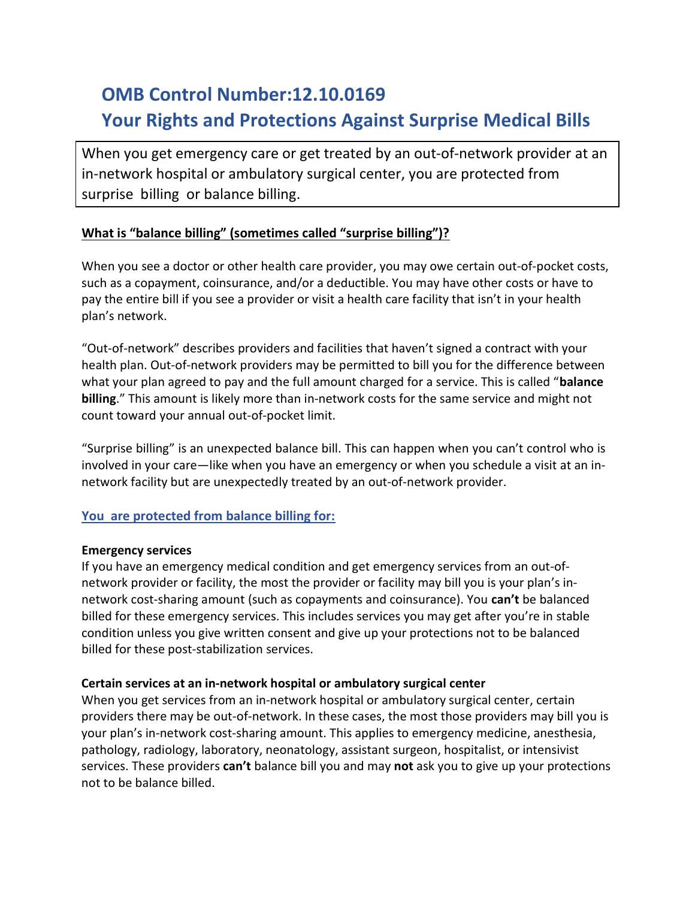# OMB Control Number:12.10.0169 Your Rights and Protections Against Surprise Medical Bills

When you get emergency care or get treated by an out-of-network provider at an in-network hospital or ambulatory surgical center, you are protected from surprise billing or balance billing.

## What is "balance billing" (sometimes called "surprise billing")?

When you see a doctor or other health care provider, you may owe certain out-of-pocket costs, such as a copayment, coinsurance, and/or a deductible. You may have other costs or have to pay the entire bill if you see a provider or visit a health care facility that isn't in your health plan's network.

"Out-of-network" describes providers and facilities that haven't signed a contract with your health plan. Out-of-network providers may be permitted to bill you for the difference between what your plan agreed to pay and the full amount charged for a service. This is called "balance" billing." This amount is likely more than in-network costs for the same service and might not count toward your annual out-of-pocket limit.

"Surprise billing" is an unexpected balance bill. This can happen when you can't control who is involved in your care—like when you have an emergency or when you schedule a visit at an innetwork facility but are unexpectedly treated by an out-of-network provider.

### You are protected from balance billing for:

#### Emergency services

If you have an emergency medical condition and get emergency services from an out-ofnetwork provider or facility, the most the provider or facility may bill you is your plan's innetwork cost-sharing amount (such as copayments and coinsurance). You can't be balanced billed for these emergency services. This includes services you may get after you're in stable condition unless you give written consent and give up your protections not to be balanced billed for these post-stabilization services.

#### Certain services at an in-network hospital or ambulatory surgical center

When you get services from an in-network hospital or ambulatory surgical center, certain providers there may be out-of-network. In these cases, the most those providers may bill you is your plan's in-network cost-sharing amount. This applies to emergency medicine, anesthesia, pathology, radiology, laboratory, neonatology, assistant surgeon, hospitalist, or intensivist services. These providers can't balance bill you and may not ask you to give up your protections not to be balance billed.